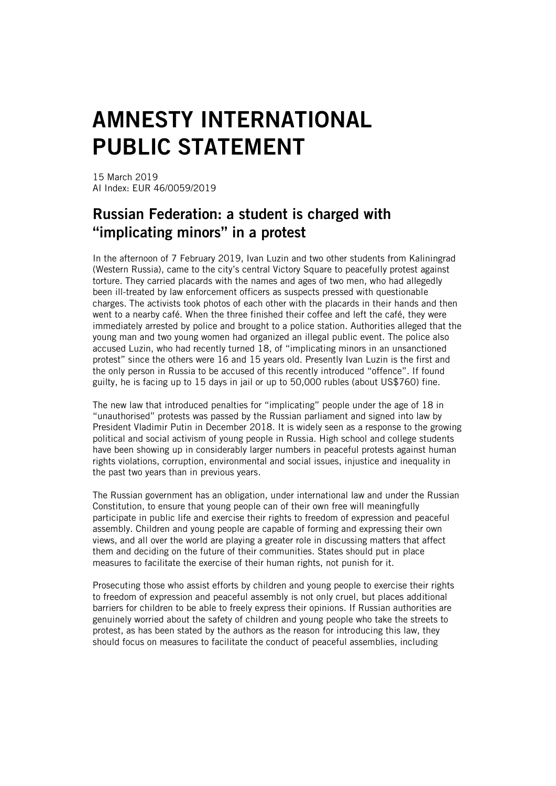## AMNESTY INTERNATIONAL PUBLIC STATEMENT

15 March 2019 AI Index: EUR 46/0059/2019

## Russian Federation: a student is charged with "implicating minors" in a protest

In the afternoon of 7 February 2019, Ivan Luzin and two other students from Kaliningrad (Western Russia), came to the city's central Victory Square to peacefully protest against torture. They carried placards with the names and ages of two men, who had allegedly been ill-treated by law enforcement officers as suspects pressed with questionable charges. The activists took photos of each other with the placards in their hands and then went to a nearby café. When the three finished their coffee and left the café, they were immediately arrested by police and brought to a police station. Authorities alleged that the young man and two young women had organized an illegal public event. The police also accused Luzin, who had recently turned 18, of "implicating minors in an unsanctioned protest" since the others were 16 and 15 years old. Presently Ivan Luzin is the first and the only person in Russia to be accused of this recently introduced "offence". If found guilty, he is facing up to 15 days in jail or up to 50,000 rubles (about US\$760) fine.

The new law that introduced penalties for "implicating" people under the age of 18 in "unauthorised" protests was passed by the Russian parliament and signed into law by President Vladimir Putin in December 2018. It is widely seen as a response to the growing political and social activism of young people in Russia. High school and college students have been showing up in considerably larger numbers in peaceful protests against human rights violations, corruption, environmental and social issues, injustice and inequality in the past two years than in previous years.

The Russian government has an obligation, under international law and under the Russian Constitution, to ensure that young people can of their own free will meaningfully participate in public life and exercise their rights to freedom of expression and peaceful assembly. Children and young people are capable of forming and expressing their own views, and all over the world are playing a greater role in discussing matters that affect them and deciding on the future of their communities. States should put in place measures to facilitate the exercise of their human rights, not punish for it.

Prosecuting those who assist efforts by children and young people to exercise their rights to freedom of expression and peaceful assembly is not only cruel, but places additional barriers for children to be able to freely express their opinions. If Russian authorities are genuinely worried about the safety of children and young people who take the streets to protest, as has been stated by the authors as the reason for introducing this law, they should focus on measures to facilitate the conduct of peaceful assemblies, including